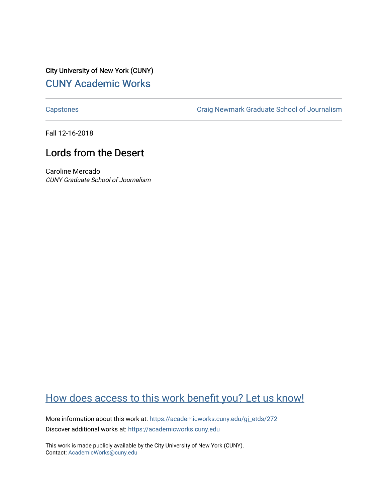City University of New York (CUNY) [CUNY Academic Works](https://academicworks.cuny.edu/) 

[Capstones](https://academicworks.cuny.edu/gj_etds) [Craig Newmark Graduate School of Journalism](https://academicworks.cuny.edu/gj) 

Fall 12-16-2018

## Lords from the Desert

Caroline Mercado CUNY Graduate School of Journalism

## [How does access to this work benefit you? Let us know!](http://ols.cuny.edu/academicworks/?ref=https://academicworks.cuny.edu/gj_etds/272)

More information about this work at: [https://academicworks.cuny.edu/gj\\_etds/272](https://academicworks.cuny.edu/gj_etds/272)  Discover additional works at: [https://academicworks.cuny.edu](https://academicworks.cuny.edu/?)

This work is made publicly available by the City University of New York (CUNY). Contact: [AcademicWorks@cuny.edu](mailto:AcademicWorks@cuny.edu)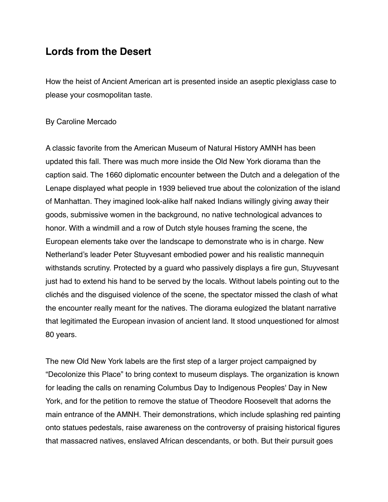## **Lords from the Desert**

How the heist of Ancient American art is presented inside an aseptic plexiglass case to please your cosmopolitan taste.

## By Caroline Mercado

A classic favorite from the American Museum of Natural History AMNH has been updated this fall. There was much more inside the Old New York diorama than the caption said. The 1660 diplomatic encounter between the Dutch and a delegation of the Lenape displayed what people in 1939 believed true about the colonization of the island of Manhattan. They imagined look-alike half naked Indians willingly giving away their goods, submissive women in the background, no native technological advances to honor. With a windmill and a row of Dutch style houses framing the scene, the European elements take over the landscape to demonstrate who is in charge. New Netherland's leader Peter Stuyvesant embodied power and his realistic mannequin withstands scrutiny. Protected by a guard who passively displays a fire gun, Stuyvesant just had to extend his hand to be served by the locals. Without labels pointing out to the clichés and the disguised violence of the scene, the spectator missed the clash of what the encounter really meant for the natives. The diorama eulogized the blatant narrative that legitimated the European invasion of ancient land. It stood unquestioned for almost 80 years.

The new Old New York labels are the first step of a larger project campaigned by "Decolonize this Place" to bring context to museum displays. The organization is known for leading the calls on renaming Columbus Day to Indigenous Peoples' Day in New York, and for the petition to remove the statue of Theodore Roosevelt that adorns the main entrance of the AMNH. Their demonstrations, which include splashing red painting onto statues pedestals, raise awareness on the controversy of praising historical figures that massacred natives, enslaved African descendants, or both. But their pursuit goes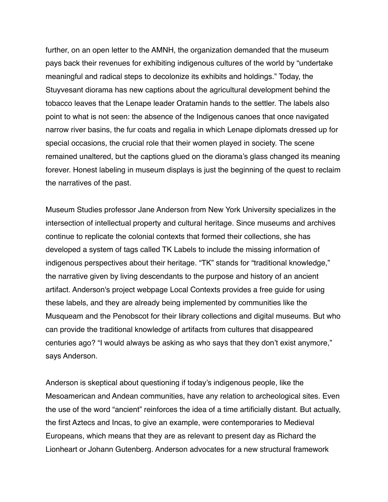further, on an open letter to the AMNH, the organization demanded that the museum pays back their revenues for exhibiting indigenous cultures of the world by "undertake meaningful and radical steps to decolonize its exhibits and holdings." Today, the Stuyvesant diorama has new captions about the agricultural development behind the tobacco leaves that the Lenape leader Oratamin hands to the settler. The labels also point to what is not seen: the absence of the Indigenous canoes that once navigated narrow river basins, the fur coats and regalia in which Lenape diplomats dressed up for special occasions, the crucial role that their women played in society. The scene remained unaltered, but the captions glued on the diorama's glass changed its meaning forever. Honest labeling in museum displays is just the beginning of the quest to reclaim the narratives of the past.

Museum Studies professor Jane Anderson from New York University specializes in the intersection of intellectual property and cultural heritage. Since museums and archives continue to replicate the colonial contexts that formed their collections, she has developed a system of tags called TK Labels to include the missing information of indigenous perspectives about their heritage. "TK" stands for "traditional knowledge," the narrative given by living descendants to the purpose and history of an ancient artifact. Anderson's project webpage Local Contexts provides a free guide for using these labels, and they are already being implemented by communities like the Musqueam and the Penobscot for their library collections and digital museums. But who can provide the traditional knowledge of artifacts from cultures that disappeared centuries ago? "I would always be asking as who says that they don't exist anymore," says Anderson.

Anderson is skeptical about questioning if today's indigenous people, like the Mesoamerican and Andean communities, have any relation to archeological sites. Even the use of the word "ancient" reinforces the idea of a time artificially distant. But actually, the first Aztecs and Incas, to give an example, were contemporaries to Medieval Europeans, which means that they are as relevant to present day as Richard the Lionheart or Johann Gutenberg. Anderson advocates for a new structural framework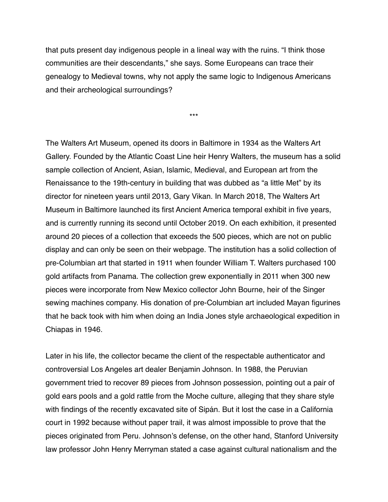that puts present day indigenous people in a lineal way with the ruins. "I think those communities are their descendants," she says. Some Europeans can trace their genealogy to Medieval towns, why not apply the same logic to Indigenous Americans and their archeological surroundings?

\*\*\*

The Walters Art Museum, opened its doors in Baltimore in 1934 as the Walters Art Gallery. Founded by the Atlantic Coast Line heir Henry Walters, the museum has a solid sample collection of Ancient, Asian, Islamic, Medieval, and European art from the Renaissance to the 19th-century in building that was dubbed as "a little Met" by its director for nineteen years until 2013, Gary Vikan. In March 2018, The Walters Art Museum in Baltimore launched its first Ancient America temporal exhibit in five years, and is currently running its second until October 2019. On each exhibition, it presented around 20 pieces of a collection that exceeds the 500 pieces, which are not on public display and can only be seen on their webpage. The institution has a solid collection of pre-Columbian art that started in 1911 when founder William T. Walters purchased 100 gold artifacts from Panama. The collection grew exponentially in 2011 when 300 new pieces were incorporate from New Mexico collector John Bourne, heir of the Singer sewing machines company. His donation of pre-Columbian art included Mayan figurines that he back took with him when doing an India Jones style archaeological expedition in Chiapas in 1946.

Later in his life, the collector became the client of the respectable authenticator and controversial Los Angeles art dealer Benjamin Johnson. In 1988, the Peruvian government tried to recover 89 pieces from Johnson possession, pointing out a pair of gold ears pools and a gold rattle from the Moche culture, alleging that they share style with findings of the recently excavated site of Sipán. But it lost the case in a California court in 1992 because without paper trail, it was almost impossible to prove that the pieces originated from Peru. Johnson's defense, on the other hand, Stanford University law professor John Henry Merryman stated a case against cultural nationalism and the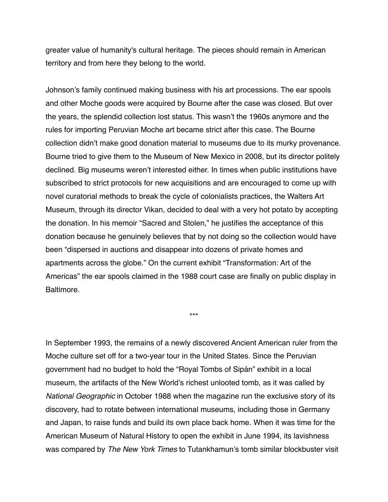greater value of humanity's cultural heritage. The pieces should remain in American territory and from here they belong to the world.

Johnson's family continued making business with his art processions. The ear spools and other Moche goods were acquired by Bourne after the case was closed. But over the years, the splendid collection lost status. This wasn't the 1960s anymore and the rules for importing Peruvian Moche art became strict after this case. The Bourne collection didn't make good donation material to museums due to its murky provenance. Bourne tried to give them to the Museum of New Mexico in 2008, but its director politely declined. Big museums weren't interested either. In times when public institutions have subscribed to strict protocols for new acquisitions and are encouraged to come up with novel curatorial methods to break the cycle of colonialists practices, the Walters Art Museum, through its director Vikan, decided to deal with a very hot potato by accepting the donation. In his memoir "Sacred and Stolen," he justifies the acceptance of this donation because he genuinely believes that by not doing so the collection would have been "dispersed in auctions and disappear into dozens of private homes and apartments across the globe." On the current exhibit "Transformation: Art of the Americas" the ear spools claimed in the 1988 court case are finally on public display in Baltimore.

\*\*\*

In September 1993, the remains of a newly discovered Ancient American ruler from the Moche culture set off for a two-year tour in the United States. Since the Peruvian government had no budget to hold the "Royal Tombs of Sipán" exhibit in a local museum, the artifacts of the New World's richest unlooted tomb, as it was called by *National Geographic* in October 1988 when the magazine run the exclusive story of its discovery, had to rotate between international museums, including those in Germany and Japan, to raise funds and build its own place back home. When it was time for the American Museum of Natural History to open the exhibit in June 1994, its lavishness was compared by *The New York Times* to Tutankhamun's tomb similar blockbuster visit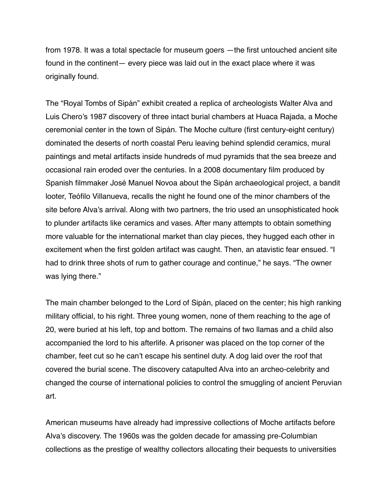from 1978. It was a total spectacle for museum goers —the first untouched ancient site found in the continent— every piece was laid out in the exact place where it was originally found.

The "Royal Tombs of Sipán" exhibit created a replica of archeologists Walter Alva and Luis Chero's 1987 discovery of three intact burial chambers at Huaca Rajada, a Moche ceremonial center in the town of Sipán. The Moche culture (first century-eight century) dominated the deserts of north coastal Peru leaving behind splendid ceramics, mural paintings and metal artifacts inside hundreds of mud pyramids that the sea breeze and occasional rain eroded over the centuries. In a 2008 documentary film produced by Spanish filmmaker José Manuel Novoa about the Sipán archaeological project, a bandit looter, Teófilo Villanueva, recalls the night he found one of the minor chambers of the site before Alva's arrival. Along with two partners, the trio used an unsophisticated hook to plunder artifacts like ceramics and vases. After many attempts to obtain something more valuable for the international market than clay pieces, they hugged each other in excitement when the first golden artifact was caught. Then, an atavistic fear ensued. "I had to drink three shots of rum to gather courage and continue," he says. "The owner was lying there."

The main chamber belonged to the Lord of Sipán, placed on the center; his high ranking military official, to his right. Three young women, none of them reaching to the age of 20, were buried at his left, top and bottom. The remains of two llamas and a child also accompanied the lord to his afterlife. A prisoner was placed on the top corner of the chamber, feet cut so he can't escape his sentinel duty. A dog laid over the roof that covered the burial scene. The discovery catapulted Alva into an archeo-celebrity and changed the course of international policies to control the smuggling of ancient Peruvian art.

American museums have already had impressive collections of Moche artifacts before Alva's discovery. The 1960s was the golden decade for amassing pre-Columbian collections as the prestige of wealthy collectors allocating their bequests to universities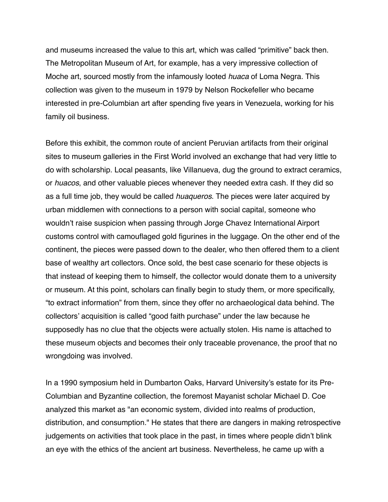and museums increased the value to this art, which was called "primitive" back then. The Metropolitan Museum of Art, for example, has a very impressive collection of Moche art, sourced mostly from the infamously looted *huaca* of Loma Negra. This collection was given to the museum in 1979 by Nelson Rockefeller who became interested in pre-Columbian art after spending five years in Venezuela, working for his family oil business.

Before this exhibit, the common route of ancient Peruvian artifacts from their original sites to museum galleries in the First World involved an exchange that had very little to do with scholarship. Local peasants, like Villanueva, dug the ground to extract ceramics, or *huacos*, and other valuable pieces whenever they needed extra cash. If they did so as a full time job, they would be called *huaqueros*. The pieces were later acquired by urban middlemen with connections to a person with social capital, someone who wouldn't raise suspicion when passing through Jorge Chavez International Airport customs control with camouflaged gold figurines in the luggage. On the other end of the continent, the pieces were passed down to the dealer, who then offered them to a client base of wealthy art collectors. Once sold, the best case scenario for these objects is that instead of keeping them to himself, the collector would donate them to a university or museum. At this point, scholars can finally begin to study them, or more specifically, "to extract information" from them, since they offer no archaeological data behind. The collectors' acquisition is called "good faith purchase" under the law because he supposedly has no clue that the objects were actually stolen. His name is attached to these museum objects and becomes their only traceable provenance, the proof that no wrongdoing was involved.

In a 1990 symposium held in Dumbarton Oaks, Harvard University's estate for its Pre-Columbian and Byzantine collection, the foremost Mayanist scholar Michael D. Coe analyzed this market as "an economic system, divided into realms of production, distribution, and consumption." He states that there are dangers in making retrospective judgements on activities that took place in the past, in times where people didn't blink an eye with the ethics of the ancient art business. Nevertheless, he came up with a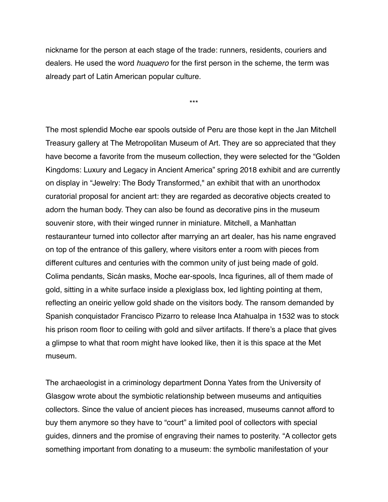nickname for the person at each stage of the trade: runners, residents, couriers and dealers. He used the word *huaquero* for the first person in the scheme, the term was already part of Latin American popular culture.

\*\*\*

The most splendid Moche ear spools outside of Peru are those kept in the Jan Mitchell Treasury gallery at The Metropolitan Museum of Art. They are so appreciated that they have become a favorite from the museum collection, they were selected for the "Golden Kingdoms: Luxury and Legacy in Ancient America" spring 2018 exhibit and are currently on display in "Jewelry: The Body Transformed," an exhibit that with an unorthodox curatorial proposal for ancient art: they are regarded as decorative objects created to adorn the human body. They can also be found as decorative pins in the museum souvenir store, with their winged runner in miniature. Mitchell, a Manhattan restauranteur turned into collector after marrying an art dealer, has his name engraved on top of the entrance of this gallery, where visitors enter a room with pieces from different cultures and centuries with the common unity of just being made of gold. Colima pendants, Sicán masks, Moche ear-spools, Inca figurines, all of them made of gold, sitting in a white surface inside a plexiglass box, led lighting pointing at them, reflecting an oneiric yellow gold shade on the visitors body. The ransom demanded by Spanish conquistador Francisco Pizarro to release Inca Atahualpa in 1532 was to stock his prison room floor to ceiling with gold and silver artifacts. If there's a place that gives a glimpse to what that room might have looked like, then it is this space at the Met museum.

The archaeologist in a criminology department Donna Yates from the University of Glasgow wrote about the symbiotic relationship between museums and antiquities collectors. Since the value of ancient pieces has increased, museums cannot afford to buy them anymore so they have to "court" a limited pool of collectors with special guides, dinners and the promise of engraving their names to posterity. "A collector gets something important from donating to a museum: the symbolic manifestation of your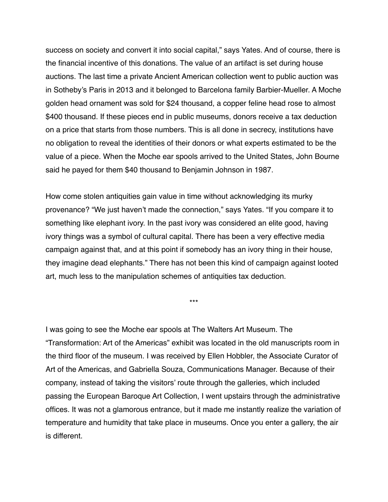success on society and convert it into social capital," says Yates. And of course, there is the financial incentive of this donations. The value of an artifact is set during house auctions. The last time a private Ancient American collection went to public auction was in Sotheby's Paris in 2013 and it belonged to Barcelona family Barbier-Mueller. A Moche golden head ornament was sold for \$24 thousand, a copper feline head rose to almost \$400 thousand. If these pieces end in public museums, donors receive a tax deduction on a price that starts from those numbers. This is all done in secrecy, institutions have no obligation to reveal the identities of their donors or what experts estimated to be the value of a piece. When the Moche ear spools arrived to the United States, John Bourne said he payed for them \$40 thousand to Benjamin Johnson in 1987.

How come stolen antiquities gain value in time without acknowledging its murky provenance? "We just haven't made the connection," says Yates. "If you compare it to something like elephant ivory. In the past ivory was considered an elite good, having ivory things was a symbol of cultural capital. There has been a very effective media campaign against that, and at this point if somebody has an ivory thing in their house, they imagine dead elephants." There has not been this kind of campaign against looted art, much less to the manipulation schemes of antiquities tax deduction.

\*\*\*

I was going to see the Moche ear spools at The Walters Art Museum. The "Transformation: Art of the Americas" exhibit was located in the old manuscripts room in the third floor of the museum. I was received by Ellen Hobbler, the Associate Curator of Art of the Americas, and Gabriella Souza, Communications Manager. Because of their company, instead of taking the visitors' route through the galleries, which included passing the European Baroque Art Collection, I went upstairs through the administrative offices. It was not a glamorous entrance, but it made me instantly realize the variation of temperature and humidity that take place in museums. Once you enter a gallery, the air is different.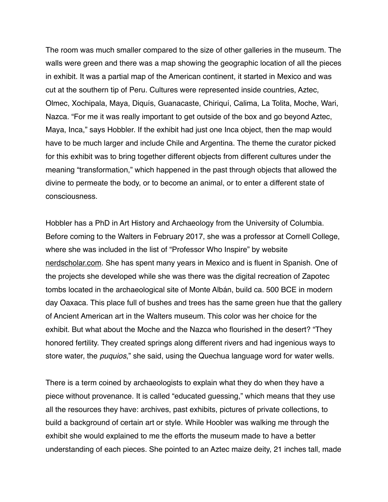The room was much smaller compared to the size of other galleries in the museum. The walls were green and there was a map showing the geographic location of all the pieces in exhibit. It was a partial map of the American continent, it started in Mexico and was cut at the southern tip of Peru. Cultures were represented inside countries, Aztec, Olmec, Xochipala, Maya, Diquís, Guanacaste, Chiriquí, Calima, La Tolita, Moche, Wari, Nazca. "For me it was really important to get outside of the box and go beyond Aztec, Maya, Inca," says Hobbler. If the exhibit had just one Inca object, then the map would have to be much larger and include Chile and Argentina. The theme the curator picked for this exhibit was to bring together different objects from different cultures under the meaning "transformation," which happened in the past through objects that allowed the divine to permeate the body, or to become an animal, or to enter a different state of consciousness.

Hobbler has a PhD in Art History and Archaeology from the University of Columbia. Before coming to the Walters in February 2017, she was a professor at Cornell College, where she was included in the list of "Professor Who Inspire" by website [nerdscholar.com](http://nerdscholar.com). She has spent many years in Mexico and is fluent in Spanish. One of the projects she developed while she was there was the digital recreation of Zapotec tombs located in the archaeological site of Monte Albán, build ca. 500 BCE in modern day Oaxaca. This place full of bushes and trees has the same green hue that the gallery of Ancient American art in the Walters museum. This color was her choice for the exhibit. But what about the Moche and the Nazca who flourished in the desert? "They honored fertility. They created springs along different rivers and had ingenious ways to store water, the *puquios*," she said, using the Quechua language word for water wells.

There is a term coined by archaeologists to explain what they do when they have a piece without provenance. It is called "educated guessing," which means that they use all the resources they have: archives, past exhibits, pictures of private collections, to build a background of certain art or style. While Hoobler was walking me through the exhibit she would explained to me the efforts the museum made to have a better understanding of each pieces. She pointed to an Aztec maize deity, 21 inches tall, made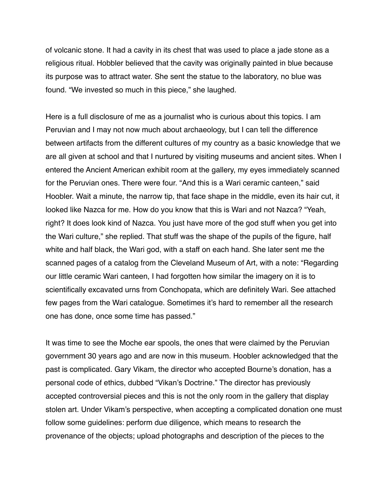of volcanic stone. It had a cavity in its chest that was used to place a jade stone as a religious ritual. Hobbler believed that the cavity was originally painted in blue because its purpose was to attract water. She sent the statue to the laboratory, no blue was found. "We invested so much in this piece," she laughed.

Here is a full disclosure of me as a journalist who is curious about this topics. I am Peruvian and I may not now much about archaeology, but I can tell the difference between artifacts from the different cultures of my country as a basic knowledge that we are all given at school and that I nurtured by visiting museums and ancient sites. When I entered the Ancient American exhibit room at the gallery, my eyes immediately scanned for the Peruvian ones. There were four. "And this is a Wari ceramic canteen," said Hoobler. Wait a minute, the narrow tip, that face shape in the middle, even its hair cut, it looked like Nazca for me. How do you know that this is Wari and not Nazca? "Yeah, right? It does look kind of Nazca. You just have more of the god stuff when you get into the Wari culture," she replied. That stuff was the shape of the pupils of the figure, half white and half black, the Wari god, with a staff on each hand. She later sent me the scanned pages of a catalog from the Cleveland Museum of Art, with a note: "Regarding our little ceramic Wari canteen, I had forgotten how similar the imagery on it is to scientifically excavated urns from Conchopata, which are definitely Wari. See attached few pages from the Wari catalogue. Sometimes it's hard to remember all the research one has done, once some time has passed."

It was time to see the Moche ear spools, the ones that were claimed by the Peruvian government 30 years ago and are now in this museum. Hoobler acknowledged that the past is complicated. Gary Vikam, the director who accepted Bourne's donation, has a personal code of ethics, dubbed "Vikan's Doctrine." The director has previously accepted controversial pieces and this is not the only room in the gallery that display stolen art. Under Vikam's perspective, when accepting a complicated donation one must follow some guidelines: perform due diligence, which means to research the provenance of the objects; upload photographs and description of the pieces to the